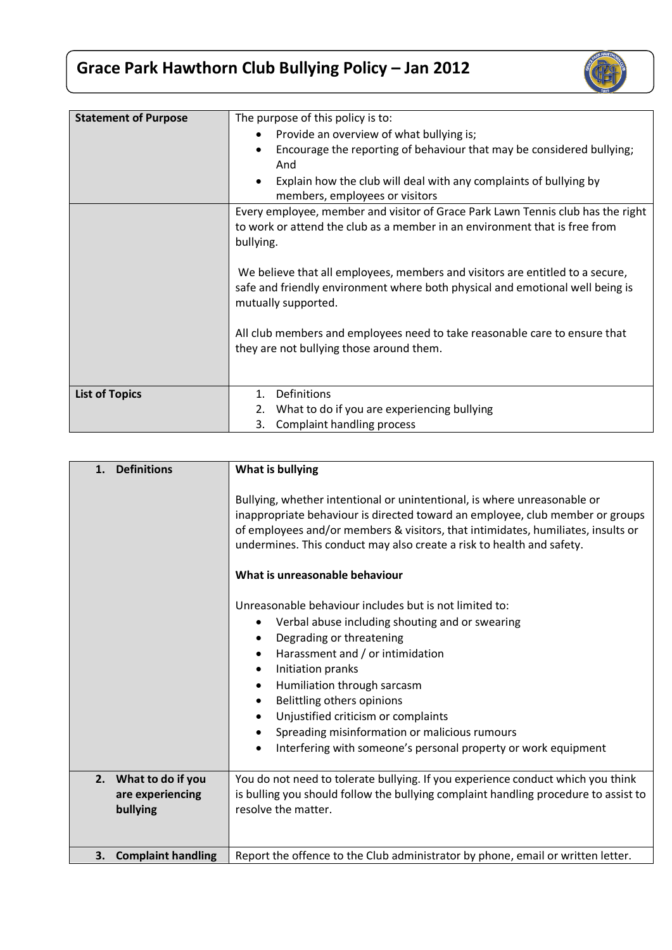## **Grace Park Hawthorn Club Bullying Policy – Jan 2012**



| <b>Statement of Purpose</b> | The purpose of this policy is to:                                               |
|-----------------------------|---------------------------------------------------------------------------------|
|                             | Provide an overview of what bullying is;                                        |
|                             | Encourage the reporting of behaviour that may be considered bullying;           |
|                             | And                                                                             |
|                             | Explain how the club will deal with any complaints of bullying by               |
|                             | members, employees or visitors                                                  |
|                             | Every employee, member and visitor of Grace Park Lawn Tennis club has the right |
|                             | to work or attend the club as a member in an environment that is free from      |
|                             | bullying.                                                                       |
|                             |                                                                                 |
|                             | We believe that all employees, members and visitors are entitled to a secure,   |
|                             | safe and friendly environment where both physical and emotional well being is   |
|                             | mutually supported.                                                             |
|                             | All club members and employees need to take reasonable care to ensure that      |
|                             | they are not bullying those around them.                                        |
|                             |                                                                                 |
|                             |                                                                                 |
| <b>List of Topics</b>       | Definitions<br>1.                                                               |
|                             | What to do if you are experiencing bullying<br>2.                               |
|                             | Complaint handling process<br>3.                                                |

| <b>Definitions</b><br>1.                             | What is bullying                                                                                                                                                                                                                                                                                                                                                                                                                                            |
|------------------------------------------------------|-------------------------------------------------------------------------------------------------------------------------------------------------------------------------------------------------------------------------------------------------------------------------------------------------------------------------------------------------------------------------------------------------------------------------------------------------------------|
|                                                      | Bullying, whether intentional or unintentional, is where unreasonable or<br>inappropriate behaviour is directed toward an employee, club member or groups<br>of employees and/or members & visitors, that intimidates, humiliates, insults or<br>undermines. This conduct may also create a risk to health and safety.                                                                                                                                      |
|                                                      | What is unreasonable behaviour                                                                                                                                                                                                                                                                                                                                                                                                                              |
|                                                      | Unreasonable behaviour includes but is not limited to:<br>Verbal abuse including shouting and or swearing<br>Degrading or threatening<br>Harassment and / or intimidation<br>٠<br>Initiation pranks<br>٠<br>Humiliation through sarcasm<br>٠<br>Belittling others opinions<br>٠<br>Unjustified criticism or complaints<br>Spreading misinformation or malicious rumours<br>٠<br>Interfering with someone's personal property or work equipment<br>$\bullet$ |
| 2. What to do if you<br>are experiencing<br>bullying | You do not need to tolerate bullying. If you experience conduct which you think<br>is bulling you should follow the bullying complaint handling procedure to assist to<br>resolve the matter.                                                                                                                                                                                                                                                               |
| <b>Complaint handling</b><br>3.                      | Report the offence to the Club administrator by phone, email or written letter.                                                                                                                                                                                                                                                                                                                                                                             |